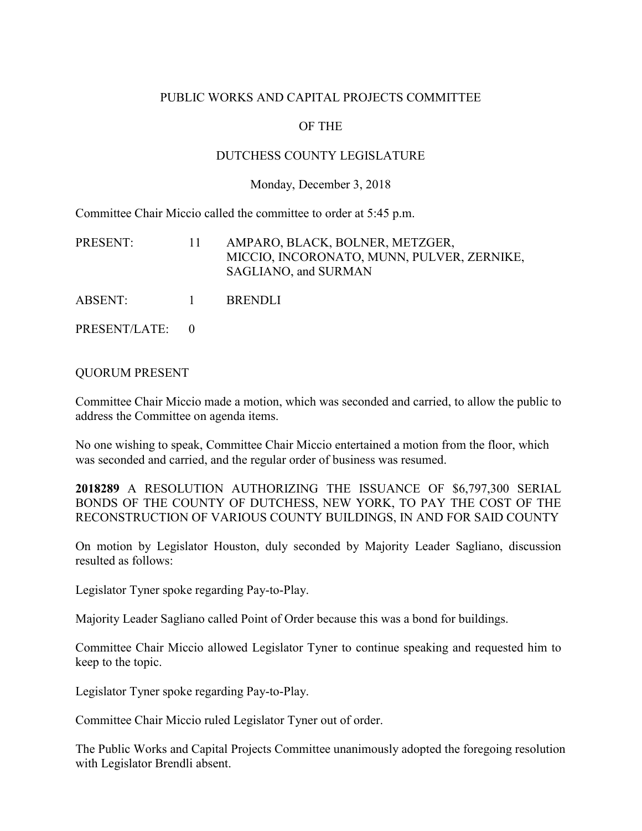## PUBLIC WORKS AND CAPITAL PROJECTS COMMITTEE

# OF THE

### DUTCHESS COUNTY LEGISLATURE

#### Monday, December 3, 2018

Committee Chair Miccio called the committee to order at 5:45 p.m.

| PRESENT: | $\mathbf{H}$ | AMPARO, BLACK, BOLNER, METZGER,<br>MICCIO, INCORONATO, MUNN, PULVER, ZERNIKE,<br>SAGLIANO, and SURMAN |
|----------|--------------|-------------------------------------------------------------------------------------------------------|
| ABSENT:  | $\mathbf{1}$ | <b>BRENDLI</b>                                                                                        |

PRESENT/LATE: 0

#### QUORUM PRESENT

Committee Chair Miccio made a motion, which was seconded and carried, to allow the public to address the Committee on agenda items.

No one wishing to speak, Committee Chair Miccio entertained a motion from the floor, which was seconded and carried, and the regular order of business was resumed.

**2018289** A RESOLUTION AUTHORIZING THE ISSUANCE OF \$6,797,300 SERIAL BONDS OF THE COUNTY OF DUTCHESS, NEW YORK, TO PAY THE COST OF THE RECONSTRUCTION OF VARIOUS COUNTY BUILDINGS, IN AND FOR SAID COUNTY

On motion by Legislator Houston, duly seconded by Majority Leader Sagliano, discussion resulted as follows:

Legislator Tyner spoke regarding Pay-to-Play.

Majority Leader Sagliano called Point of Order because this was a bond for buildings.

Committee Chair Miccio allowed Legislator Tyner to continue speaking and requested him to keep to the topic.

Legislator Tyner spoke regarding Pay-to-Play.

Committee Chair Miccio ruled Legislator Tyner out of order.

The Public Works and Capital Projects Committee unanimously adopted the foregoing resolution with Legislator Brendli absent.